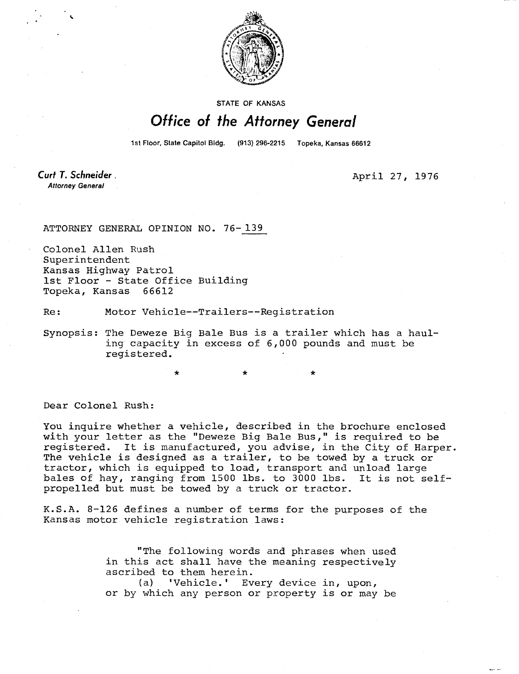

STATE OF KANSAS

## Office of the Attorney General

1st Floor, State Capitol Bldg. (913) 296-2215 Topeka, Kansas 66612

Curt T. Schneider. **Attorney General** 

April 27, 1976

ATTORNEY GENERAL OPINION NO. 76-139

Colonel Allen Rush Superintendent Kansas Highway Patrol 1st Floor - State Office Building Topeka, Kansas 66612

Re: Motor Vehicle--Trailers--Registration

Synopsis: The Deweze Big Bale Bus is a trailer which has a hauling capacity in excess of 6,000 pounds and must be registered.

Dear Colonel Rush:

You inquire whether a vehicle, described in the brochure enclosed with your letter as the "Deweze Big Bale Bus," is required to be registered. It is manufactured, you advise, in the City of Harper. The vehicle is designed as a trailer, to be towed by a truck or tractor, which is equipped to load, transport and unload large bales of hay, ranging from 1500 lbs. to 3000 lbs. It is not selfpropelled but must be towed by a truck or tractor.

K.S.A. 8-126 defines a number of terms for the purposes of the Kansas motor vehicle registration laws:

> "The following words and phrases when used in this act shall have the meaning respectively ascribed to them herein.

> (a) 'Vehicle.' Every device in, upon, or by which any person or property is or may be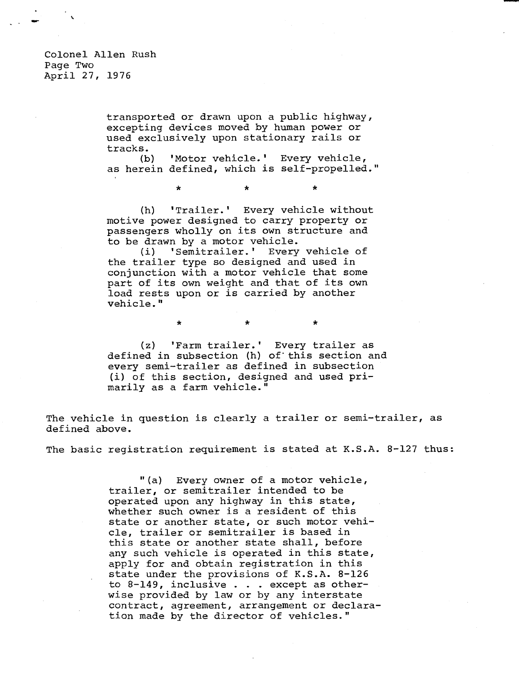transported or drawn upon a public highway, excepting devices moved by human power or used exclusively upon stationary rails or tracks.

(b) 'Motor vehicle.' Every vehicle, as herein defined, which is self-propelled."

\* \*

 $\star$ 

÷

(h) 'Trailer.' Every vehicle without motive power designed to carry property or passengers wholly on its own structure and to be drawn by a motor vehicle.

(i) 'Semitrailer.' Every vehicle of the trailer type so designed and used in conjunction with a motor vehicle that some part of its own weight and that of its own load rests upon or is carried by another vehicle."

\*

(z) 'Farm trailer.' Every trailer as defined in subsection (h) of this section and every semi-trailer as defined in subsection (i) of this section, designed and used primarily as a farm vehicle."

 $\bullet$ 

The vehicle in question is clearly a trailer or semi-trailer, as defined above.

The basic registration requirement is stated at K.S.A. 8-127 thus:

"(a) Every owner of a motor vehicle, trailer, or semitrailer intended to be operated upon any highway in this state, whether such owner is a resident of this state or another state, or such motor vehicle, trailer or semitrailer is based in this state or another state shall, before any such vehicle is operated in this state, apply for and obtain registration in this state under the provisions of K.S.A. 8-126 to 8-149, inclusive . . . except as otherwise provided by law or by any interstate contract, agreement, arrangement or declaration made by the director of vehicles."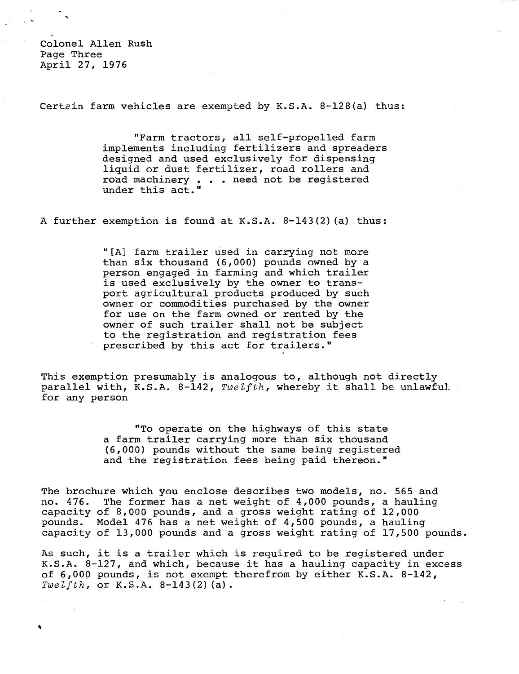Colonel Allen Rush Page Three April 27, 1976

Certain farm vehicles are exempted by K.S.A. 8-128(a) thus:

"Farm tractors, all self-propelled farm implements including fertilizers and spreaders designed and used exclusively for dispensing liquid or dust fertilizer, road rollers and road machinery . . . need not be registered under this act."

A further exemption is found at K.S.A. 8-143(2)(a) thus:

"[A] farm trailer used in carrying not more than six thousand (6,000) pounds owned by a person engaged in farming and which trailer is used exclusively by the owner to transport agricultural products produced by such owner or commodities purchased by the owner for use on the farm owned or rented by the owner of such trailer shall not be subject to the registration and registration fees prescribed by this act for trailers."

This exemption presumably is analogous to, although not directly parallel with, K.S.A. 8-142, Twelfth, whereby it shall be unlawful. for any person

> "To operate on the highways of this state a farm trailer carrying more than six thousand (6,000) pounds without the same being registered and the registration fees being paid thereon."

The brochure which you enclose describes two models, no. 565 and no. 476. The former has a net weight of 4,000 pounds, a hauling capacity of 8,000 pounds, and a gross weight rating of 12,000 pounds. Model 476 has a net weight of 4,500 pounds, a hauling capacity of 13,000 pounds and a gross weight rating of 17,500 pounds.

As such, it is a trailer which is required to be registered under K.S.A. 8-127, and which, because it has a hauling capacity in excess of 6,000 pounds, is not exempt therefrom by either K.S.A. 8-142, Twelfth, or  $K.S.A. 8-143(2)$  (a).